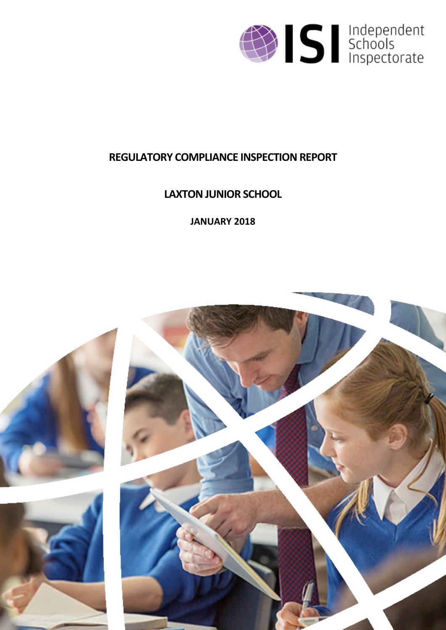

## **REGULATORY COMPLIANCE INSPECTION REPORT**

# **LAXTONJUNIOR SCHOOL**

**JANUARY 2018**

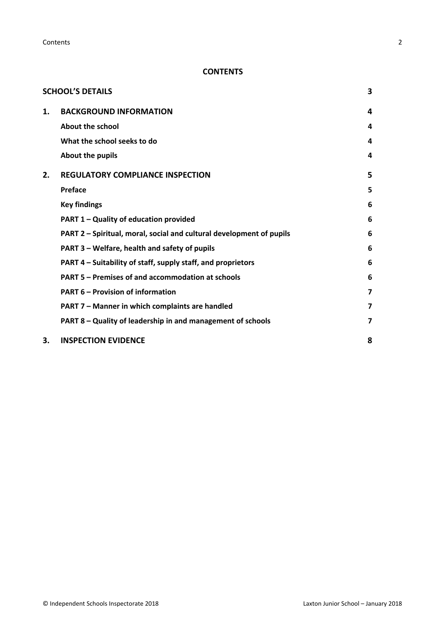**Contents** 2

## **CONTENTS**

|    | <b>SCHOOL'S DETAILS</b>                                              | 3 |
|----|----------------------------------------------------------------------|---|
| 1. | <b>BACKGROUND INFORMATION</b>                                        | 4 |
|    | <b>About the school</b>                                              | 4 |
|    | What the school seeks to do                                          | 4 |
|    | About the pupils                                                     | 4 |
| 2. | <b>REGULATORY COMPLIANCE INSPECTION</b>                              | 5 |
|    | Preface                                                              | 5 |
|    | <b>Key findings</b>                                                  | 6 |
|    | PART 1 - Quality of education provided                               | 6 |
|    | PART 2 - Spiritual, moral, social and cultural development of pupils | 6 |
|    | PART 3 – Welfare, health and safety of pupils                        | 6 |
|    | PART 4 - Suitability of staff, supply staff, and proprietors         | 6 |
|    | PART 5 - Premises of and accommodation at schools                    | 6 |
|    | <b>PART 6 – Provision of information</b>                             | 7 |
|    | PART 7 - Manner in which complaints are handled                      | 7 |
|    | PART 8 - Quality of leadership in and management of schools          | 7 |
| 3. | <b>INSPECTION EVIDENCE</b>                                           | 8 |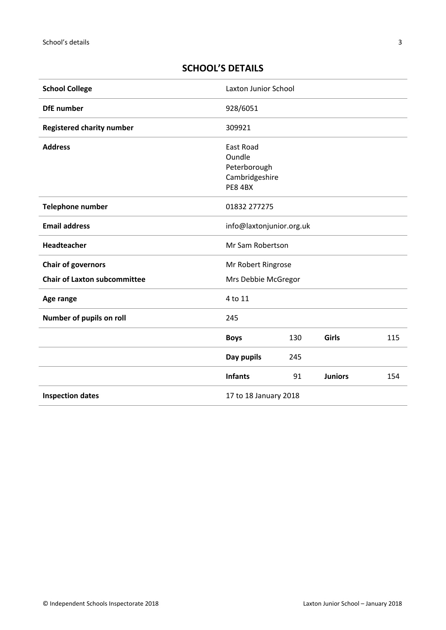## <span id="page-2-0"></span>**SCHOOL'S DETAILS**

| <b>School College</b>               | Laxton Junior School                                                    |     |                |     |
|-------------------------------------|-------------------------------------------------------------------------|-----|----------------|-----|
| <b>DfE</b> number                   | 928/6051                                                                |     |                |     |
| <b>Registered charity number</b>    | 309921                                                                  |     |                |     |
| <b>Address</b>                      | East Road<br>Oundle<br>Peterborough<br>Cambridgeshire<br><b>PE8 4BX</b> |     |                |     |
| Telephone number                    | 01832 277275                                                            |     |                |     |
| <b>Email address</b>                | info@laxtonjunior.org.uk                                                |     |                |     |
| Headteacher                         | Mr Sam Robertson                                                        |     |                |     |
| <b>Chair of governors</b>           | Mr Robert Ringrose                                                      |     |                |     |
| <b>Chair of Laxton subcommittee</b> | Mrs Debbie McGregor                                                     |     |                |     |
| Age range                           | 4 to 11                                                                 |     |                |     |
| Number of pupils on roll            | 245                                                                     |     |                |     |
|                                     | <b>Boys</b>                                                             | 130 | <b>Girls</b>   | 115 |
|                                     | Day pupils                                                              | 245 |                |     |
|                                     | <b>Infants</b>                                                          | 91  | <b>Juniors</b> | 154 |
| <b>Inspection dates</b>             | 17 to 18 January 2018                                                   |     |                |     |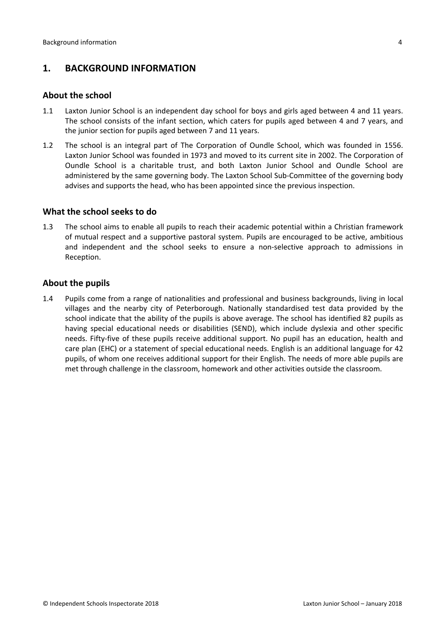## <span id="page-3-0"></span>**1. BACKGROUND INFORMATION**

#### <span id="page-3-1"></span>**About the school**

- 1.1 Laxton Junior School is an independent day school for boys and girls aged between 4 and 11 years. The school consists of the infant section, which caters for pupils aged between 4 and 7 years, and the junior section for pupils aged between 7 and 11 years.
- 1.2 The school is an integral part of The Corporation of Oundle School, which was founded in 1556. Laxton Junior School was founded in 1973 and moved to its current site in 2002. The Corporation of Oundle School is a charitable trust, and both Laxton Junior School and Oundle School are administered by the same governing body. The Laxton School Sub-Committee of the governing body advises and supports the head, who has been appointed since the previous inspection.

#### <span id="page-3-2"></span>**What the school seeks to do**

1.3 The school aims to enable all pupils to reach their academic potential within a Christian framework of mutual respect and a supportive pastoral system. Pupils are encouraged to be active, ambitious and independent and the school seeks to ensure a non-selective approach to admissions in Reception.

#### <span id="page-3-3"></span>**About the pupils**

1.4 Pupils come from a range of nationalities and professional and business backgrounds, living in local villages and the nearby city of Peterborough. Nationally standardised test data provided by the school indicate that the ability of the pupils is above average. The school has identified 82 pupils as having special educational needs or disabilities (SEND), which include dyslexia and other specific needs. Fifty-five of these pupils receive additional support. No pupil has an education, health and care plan (EHC) or a statement of special educational needs. English is an additional language for 42 pupils, of whom one receives additional support for their English. The needs of more able pupils are met through challenge in the classroom, homework and other activities outside the classroom.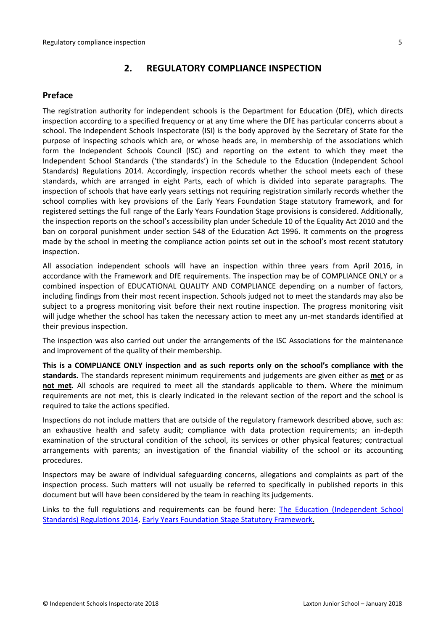## <span id="page-4-0"></span>**2. REGULATORY COMPLIANCE INSPECTION**

## <span id="page-4-1"></span>**Preface**

The registration authority for independent schools is the Department for Education (DfE), which directs inspection according to a specified frequency or at any time where the DfE has particular concerns about a school. The Independent Schools Inspectorate (ISI) is the body approved by the Secretary of State for the purpose of inspecting schools which are, or whose heads are, in membership of the associations which form the Independent Schools Council (ISC) and reporting on the extent to which they meet the Independent School Standards ('the standards') in the Schedule to the Education (Independent School Standards) Regulations 2014. Accordingly, inspection records whether the school meets each of these standards, which are arranged in eight Parts, each of which is divided into separate paragraphs. The inspection of schools that have early years settings not requiring registration similarly records whether the school complies with key provisions of the Early Years Foundation Stage statutory framework, and for registered settings the full range of the Early Years Foundation Stage provisions is considered. Additionally, the inspection reports on the school's accessibility plan under Schedule 10 of the Equality Act 2010 and the ban on corporal punishment under section 548 of the Education Act 1996. It comments on the progress made by the school in meeting the compliance action points set out in the school's most recent statutory inspection.

All association independent schools will have an inspection within three years from April 2016, in accordance with the Framework and DfE requirements. The inspection may be of COMPLIANCE ONLY or a combined inspection of EDUCATIONAL QUALITY AND COMPLIANCE depending on a number of factors, including findings from their most recent inspection. Schools judged not to meet the standards may also be subject to a progress monitoring visit before their next routine inspection. The progress monitoring visit will judge whether the school has taken the necessary action to meet any un-met standards identified at their previous inspection.

The inspection was also carried out under the arrangements of the ISC Associations for the maintenance and improvement of the quality of their membership.

**This is a COMPLIANCE ONLY inspection and as such reports only on the school's compliance with the standards.** The standards represent minimum requirements and judgements are given either as **met** or as **not met**. All schools are required to meet all the standards applicable to them. Where the minimum requirements are not met, this is clearly indicated in the relevant section of the report and the school is required to take the actions specified.

Inspections do not include matters that are outside of the regulatory framework described above, such as: an exhaustive health and safety audit; compliance with data protection requirements; an in-depth examination of the structural condition of the school, its services or other physical features; contractual arrangements with parents; an investigation of the financial viability of the school or its accounting procedures.

Inspectors may be aware of individual safeguarding concerns, allegations and complaints as part of the inspection process. Such matters will not usually be referred to specifically in published reports in this document but will have been considered by the team in reaching its judgements.

Links to the full regulations and requirements can be found here: The Education [\(Independent](http://www.legislation.gov.uk/uksi/2014/3283/contents/made) School Standards) [Regulations](http://www.legislation.gov.uk/uksi/2014/3283/contents/made) 2014, Early Years Foundation Stage Statutory [Framework.](https://www.gov.uk/government/publications/early-years-foundation-stage-framework--2)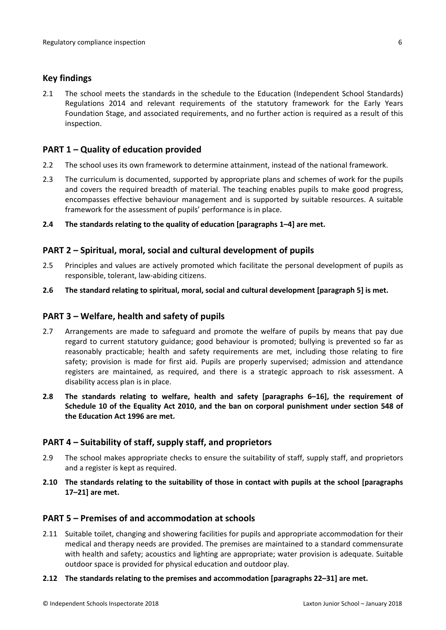#### <span id="page-5-0"></span>**Key findings**

2.1 The school meets the standards in the schedule to the Education (Independent School Standards) Regulations 2014 and relevant requirements of the statutory framework for the Early Years Foundation Stage, and associated requirements, and no further action is required as a result of this inspection.

### <span id="page-5-1"></span>**PART 1 – Quality of education provided**

- 2.2 The school uses its own framework to determine attainment, instead of the national framework.
- 2.3 The curriculum is documented, supported by appropriate plans and schemes of work for the pupils and covers the required breadth of material. The teaching enables pupils to make good progress, encompasses effective behaviour management and is supported by suitable resources. A suitable framework for the assessment of pupils' performance is in place.
- **2.4 The standards relating to the quality of education [paragraphs 1–4] are met.**

#### <span id="page-5-2"></span>**PART 2 – Spiritual, moral, social and cultural development of pupils**

- 2.5 Principles and values are actively promoted which facilitate the personal development of pupils as responsible, tolerant, law-abiding citizens.
- **2.6 The standard relating to spiritual, moral, social and cultural development [paragraph 5] is met.**

#### <span id="page-5-3"></span>**PART 3 – Welfare, health and safety of pupils**

- 2.7 Arrangements are made to safeguard and promote the welfare of pupils by means that pay due regard to current statutory guidance; good behaviour is promoted; bullying is prevented so far as reasonably practicable; health and safety requirements are met, including those relating to fire safety; provision is made for first aid. Pupils are properly supervised; admission and attendance registers are maintained, as required, and there is a strategic approach to risk assessment. A disability access plan is in place.
- **2.8 The standards relating to welfare, health and safety [paragraphs 6–16], the requirement of Schedule 10 of the Equality Act 2010, and the ban on corporal punishment under section 548 of the Education Act 1996 are met.**

#### <span id="page-5-4"></span>**PART 4 – Suitability of staff, supply staff, and proprietors**

- 2.9 The school makes appropriate checks to ensure the suitability of staff, supply staff, and proprietors and a register is kept as required.
- **2.10 The standards relating to the suitability of those in contact with pupils at the school [paragraphs 17–21] are met.**

#### <span id="page-5-5"></span>**PART 5 – Premises of and accommodation at schools**

2.11 Suitable toilet, changing and showering facilities for pupils and appropriate accommodation for their medical and therapy needs are provided. The premises are maintained to a standard commensurate with health and safety; acoustics and lighting are appropriate; water provision is adequate. Suitable outdoor space is provided for physical education and outdoor play.

#### **2.12 The standards relating to the premises and accommodation [paragraphs 22–31] are met.**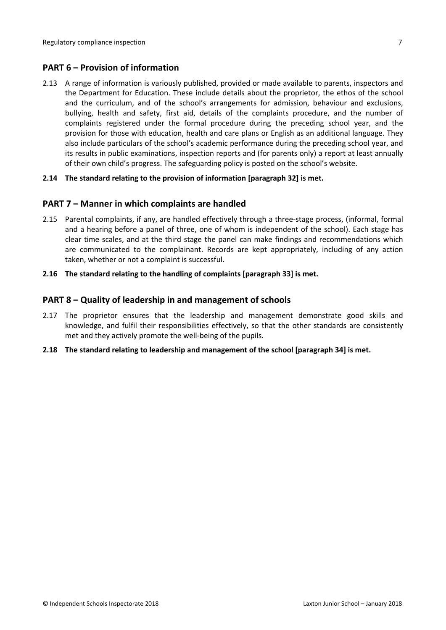## <span id="page-6-0"></span>**PART 6 – Provision of information**

2.13 A range of information is variously published, provided or made available to parents, inspectors and the Department for Education. These include details about the proprietor, the ethos of the school and the curriculum, and of the school's arrangements for admission, behaviour and exclusions, bullying, health and safety, first aid, details of the complaints procedure, and the number of complaints registered under the formal procedure during the preceding school year, and the provision for those with education, health and care plans or English as an additional language. They also include particulars of the school's academic performance during the preceding school year, and its results in public examinations, inspection reports and (for parents only) a report at least annually of their own child's progress. The safeguarding policy is posted on the school's website.

#### **2.14 The standard relating to the provision of information [paragraph 32] is met.**

#### <span id="page-6-1"></span>**PART 7 – Manner in which complaints are handled**

- 2.15 Parental complaints, if any, are handled effectively through a three-stage process, (informal, formal and a hearing before a panel of three, one of whom is independent of the school). Each stage has clear time scales, and at the third stage the panel can make findings and recommendations which are communicated to the complainant. Records are kept appropriately, including of any action taken, whether or not a complaint is successful.
- **2.16 The standard relating to the handling of complaints [paragraph 33] is met.**

#### <span id="page-6-2"></span>**PART 8 – Quality of leadership in and management of schools**

- 2.17 The proprietor ensures that the leadership and management demonstrate good skills and knowledge, and fulfil their responsibilities effectively, so that the other standards are consistently met and they actively promote the well-being of the pupils.
- **2.18 The standard relating to leadership and management of the school [paragraph 34] is met.**